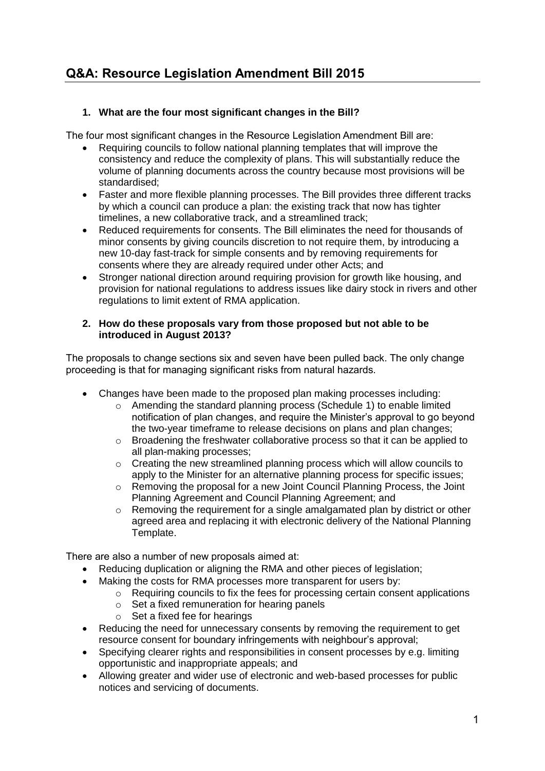# **Q&A: Resource Legislation Amendment Bill 2015**

# **1. What are the four most significant changes in the Bill?**

The four most significant changes in the Resource Legislation Amendment Bill are:

- Requiring councils to follow national planning templates that will improve the consistency and reduce the complexity of plans. This will substantially reduce the volume of planning documents across the country because most provisions will be standardised;
- Faster and more flexible planning processes. The Bill provides three different tracks by which a council can produce a plan: the existing track that now has tighter timelines, a new collaborative track, and a streamlined track;
- Reduced requirements for consents. The Bill eliminates the need for thousands of minor consents by giving councils discretion to not require them, by introducing a new 10-day fast-track for simple consents and by removing requirements for consents where they are already required under other Acts; and
- Stronger national direction around requiring provision for growth like housing, and provision for national regulations to address issues like dairy stock in rivers and other regulations to limit extent of RMA application.

# **2. How do these proposals vary from those proposed but not able to be introduced in August 2013?**

The proposals to change sections six and seven have been pulled back. The only change proceeding is that for managing significant risks from natural hazards.

- Changes have been made to the proposed plan making processes including:
	- o Amending the standard planning process (Schedule 1) to enable limited notification of plan changes, and require the Minister's approval to go beyond the two-year timeframe to release decisions on plans and plan changes;
	- o Broadening the freshwater collaborative process so that it can be applied to all plan-making processes;
	- o Creating the new streamlined planning process which will allow councils to apply to the Minister for an alternative planning process for specific issues;
	- o Removing the proposal for a new Joint Council Planning Process, the Joint Planning Agreement and Council Planning Agreement; and
	- $\circ$  Removing the requirement for a single amalgamated plan by district or other agreed area and replacing it with electronic delivery of the National Planning Template.

There are also a number of new proposals aimed at:

- Reducing duplication or aligning the RMA and other pieces of legislation;
- Making the costs for RMA processes more transparent for users by:
	- $\circ$  Requiring councils to fix the fees for processing certain consent applications
	- o Set a fixed remuneration for hearing panels
	- o Set a fixed fee for hearings
- Reducing the need for unnecessary consents by removing the requirement to get resource consent for boundary infringements with neighbour's approval;
- Specifying clearer rights and responsibilities in consent processes by e.g. limiting opportunistic and inappropriate appeals; and
- Allowing greater and wider use of electronic and web-based processes for public notices and servicing of documents.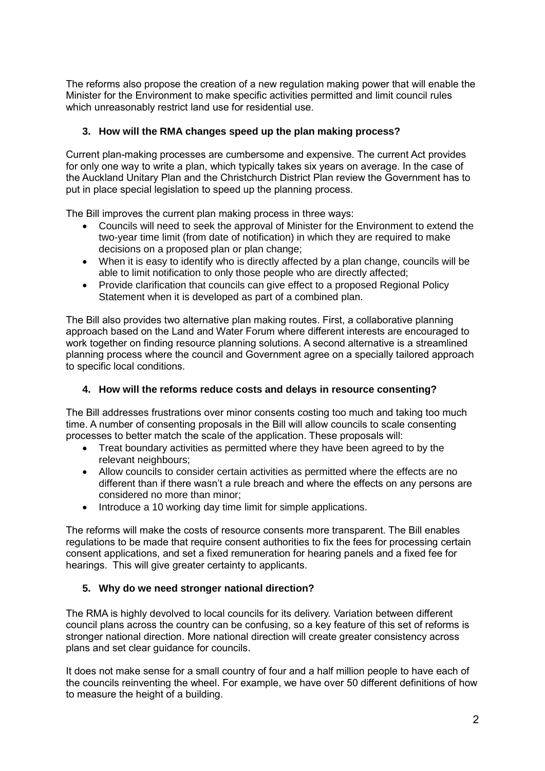The reforms also propose the creation of a new regulation making power that will enable the Minister for the Environment to make specific activities permitted and limit council rules which unreasonably restrict land use for residential use.

# **3. How will the RMA changes speed up the plan making process?**

Current plan-making processes are cumbersome and expensive. The current Act provides for only one way to write a plan, which typically takes six years on average. In the case of the Auckland Unitary Plan and the Christchurch District Plan review the Government has to put in place special legislation to speed up the planning process.

The Bill improves the current plan making process in three ways:

- Councils will need to seek the approval of Minister for the Environment to extend the two-year time limit (from date of notification) in which they are required to make decisions on a proposed plan or plan change;
- When it is easy to identify who is directly affected by a plan change, councils will be able to limit notification to only those people who are directly affected;
- Provide clarification that councils can give effect to a proposed Regional Policy Statement when it is developed as part of a combined plan.

The Bill also provides two alternative plan making routes. First, a collaborative planning approach based on the Land and Water Forum where different interests are encouraged to work together on finding resource planning solutions. A second alternative is a streamlined planning process where the council and Government agree on a specially tailored approach to specific local conditions.

# **4. How will the reforms reduce costs and delays in resource consenting?**

The Bill addresses frustrations over minor consents costing too much and taking too much time. A number of consenting proposals in the Bill will allow councils to scale consenting processes to better match the scale of the application. These proposals will:

- Treat boundary activities as permitted where they have been agreed to by the relevant neighbours:
- Allow councils to consider certain activities as permitted where the effects are no different than if there wasn't a rule breach and where the effects on any persons are considered no more than minor;
- Introduce a 10 working day time limit for simple applications.

The reforms will make the costs of resource consents more transparent. The Bill enables regulations to be made that require consent authorities to fix the fees for processing certain consent applications, and set a fixed remuneration for hearing panels and a fixed fee for hearings. This will give greater certainty to applicants.

# **5. Why do we need stronger national direction?**

The RMA is highly devolved to local councils for its delivery. Variation between different council plans across the country can be confusing, so a key feature of this set of reforms is stronger national direction. More national direction will create greater consistency across plans and set clear guidance for councils.

It does not make sense for a small country of four and a half million people to have each of the councils reinventing the wheel. For example, we have over 50 different definitions of how to measure the height of a building.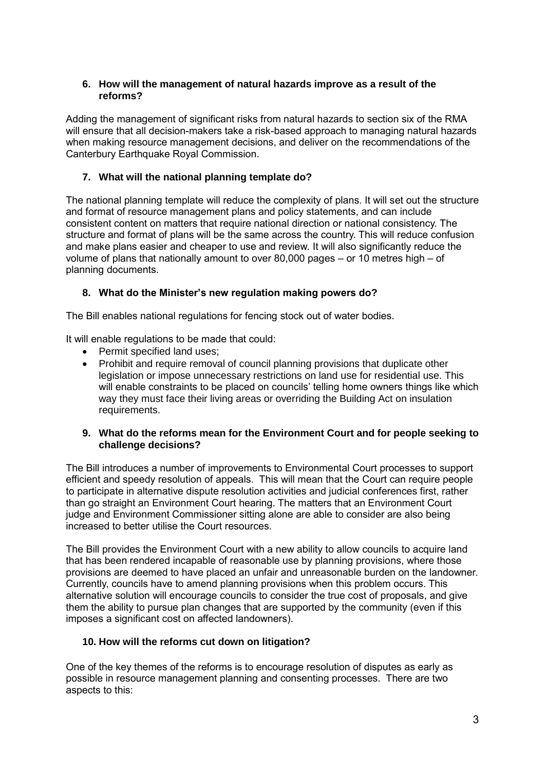#### **6. How will the management of natural hazards improve as a result of the reforms?**

Adding the management of significant risks from natural hazards to section six of the RMA will ensure that all decision-makers take a risk-based approach to managing natural hazards when making resource management decisions, and deliver on the recommendations of the Canterbury Earthquake Royal Commission.

# **7. What will the national planning template do?**

The national planning template will reduce the complexity of plans. It will set out the structure and format of resource management plans and policy statements, and can include consistent content on matters that require national direction or national consistency. The structure and format of plans will be the same across the country. This will reduce confusion and make plans easier and cheaper to use and review. It will also significantly reduce the volume of plans that nationally amount to over 80,000 pages – or 10 metres high – of planning documents.

# **8. What do the Minister's new regulation making powers do?**

The Bill enables national regulations for fencing stock out of water bodies.

It will enable regulations to be made that could:

- Permit specified land uses;
- Prohibit and require removal of council planning provisions that duplicate other legislation or impose unnecessary restrictions on land use for residential use. This will enable constraints to be placed on councils' telling home owners things like which way they must face their living areas or overriding the Building Act on insulation requirements.

#### **9. What do the reforms mean for the Environment Court and for people seeking to challenge decisions?**

The Bill introduces a number of improvements to Environmental Court processes to support efficient and speedy resolution of appeals. This will mean that the Court can require people to participate in alternative dispute resolution activities and judicial conferences first, rather than go straight an Environment Court hearing. The matters that an Environment Court judge and Environment Commissioner sitting alone are able to consider are also being increased to better utilise the Court resources.

The Bill provides the Environment Court with a new ability to allow councils to acquire land that has been rendered incapable of reasonable use by planning provisions, where those provisions are deemed to have placed an unfair and unreasonable burden on the landowner. Currently, councils have to amend planning provisions when this problem occurs. This alternative solution will encourage councils to consider the true cost of proposals, and give them the ability to pursue plan changes that are supported by the community (even if this imposes a significant cost on affected landowners).

#### **10. How will the reforms cut down on litigation?**

One of the key themes of the reforms is to encourage resolution of disputes as early as possible in resource management planning and consenting processes. There are two aspects to this: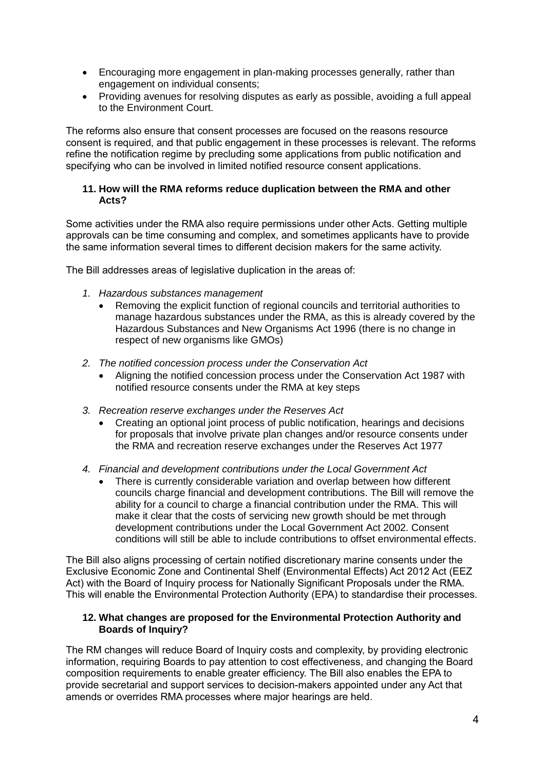- Encouraging more engagement in plan-making processes generally, rather than engagement on individual consents;
- Providing avenues for resolving disputes as early as possible, avoiding a full appeal to the Environment Court.

The reforms also ensure that consent processes are focused on the reasons resource consent is required, and that public engagement in these processes is relevant. The reforms refine the notification regime by precluding some applications from public notification and specifying who can be involved in limited notified resource consent applications.

#### **11. How will the RMA reforms reduce duplication between the RMA and other Acts?**

Some activities under the RMA also require permissions under other Acts. Getting multiple approvals can be time consuming and complex, and sometimes applicants have to provide the same information several times to different decision makers for the same activity.

The Bill addresses areas of legislative duplication in the areas of:

- *1. Hazardous substances management*
	- Removing the explicit function of regional councils and territorial authorities to manage hazardous substances under the RMA, as this is already covered by the Hazardous Substances and New Organisms Act 1996 (there is no change in respect of new organisms like GMOs)
- *2. The notified concession process under the Conservation Act*
	- Aligning the notified concession process under the Conservation Act 1987 with notified resource consents under the RMA at key steps
- *3. Recreation reserve exchanges under the Reserves Act*
	- Creating an optional joint process of public notification, hearings and decisions for proposals that involve private plan changes and/or resource consents under the RMA and recreation reserve exchanges under the Reserves Act 1977
- *4. Financial and development contributions under the Local Government Act*
	- There is currently considerable variation and overlap between how different councils charge financial and development contributions. The Bill will remove the ability for a council to charge a financial contribution under the RMA. This will make it clear that the costs of servicing new growth should be met through development contributions under the Local Government Act 2002. Consent conditions will still be able to include contributions to offset environmental effects.

The Bill also aligns processing of certain notified discretionary marine consents under the Exclusive Economic Zone and Continental Shelf (Environmental Effects) Act 2012 Act (EEZ Act) with the Board of Inquiry process for Nationally Significant Proposals under the RMA. This will enable the Environmental Protection Authority (EPA) to standardise their processes.

#### **12. What changes are proposed for the Environmental Protection Authority and Boards of Inquiry?**

The RM changes will reduce Board of Inquiry costs and complexity, by providing electronic information, requiring Boards to pay attention to cost effectiveness, and changing the Board composition requirements to enable greater efficiency. The Bill also enables the EPA to provide secretarial and support services to decision-makers appointed under any Act that amends or overrides RMA processes where major hearings are held.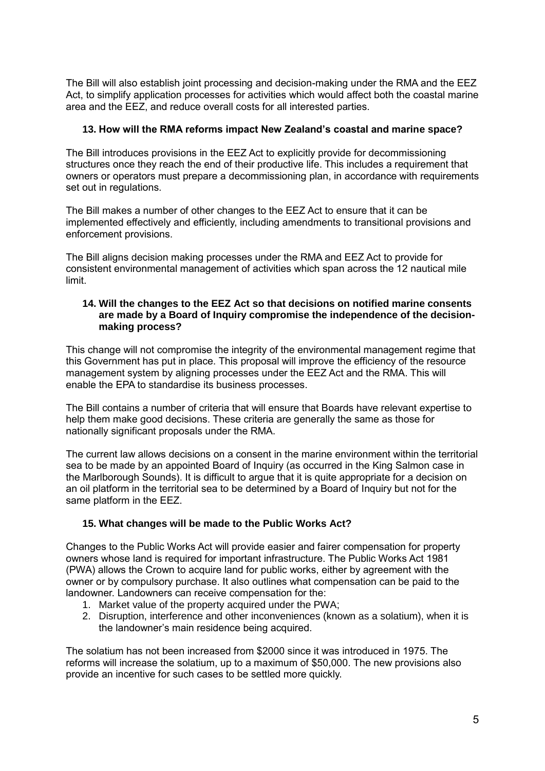The Bill will also establish joint processing and decision-making under the RMA and the EEZ Act, to simplify application processes for activities which would affect both the coastal marine area and the EEZ, and reduce overall costs for all interested parties.

# **13. How will the RMA reforms impact New Zealand's coastal and marine space?**

The Bill introduces provisions in the EEZ Act to explicitly provide for decommissioning structures once they reach the end of their productive life. This includes a requirement that owners or operators must prepare a decommissioning plan, in accordance with requirements set out in regulations.

The Bill makes a number of other changes to the EEZ Act to ensure that it can be implemented effectively and efficiently, including amendments to transitional provisions and enforcement provisions.

The Bill aligns decision making processes under the RMA and EEZ Act to provide for consistent environmental management of activities which span across the 12 nautical mile limit.

#### **14. Will the changes to the EEZ Act so that decisions on notified marine consents are made by a Board of Inquiry compromise the independence of the decisionmaking process?**

This change will not compromise the integrity of the environmental management regime that this Government has put in place. This proposal will improve the efficiency of the resource management system by aligning processes under the EEZ Act and the RMA. This will enable the EPA to standardise its business processes.

The Bill contains a number of criteria that will ensure that Boards have relevant expertise to help them make good decisions. These criteria are generally the same as those for nationally significant proposals under the RMA.

The current law allows decisions on a consent in the marine environment within the territorial sea to be made by an appointed Board of Inquiry (as occurred in the King Salmon case in the Marlborough Sounds). It is difficult to argue that it is quite appropriate for a decision on an oil platform in the territorial sea to be determined by a Board of Inquiry but not for the same platform in the EEZ.

#### **15. What changes will be made to the Public Works Act?**

Changes to the Public Works Act will provide easier and fairer compensation for property owners whose land is required for important infrastructure. The Public Works Act 1981 (PWA) allows the Crown to acquire land for public works, either by agreement with the owner or by compulsory purchase. It also outlines what compensation can be paid to the landowner. Landowners can receive compensation for the:

- 1. Market value of the property acquired under the PWA;
- 2. Disruption, interference and other inconveniences (known as a solatium), when it is the landowner's main residence being acquired.

The solatium has not been increased from \$2000 since it was introduced in 1975. The reforms will increase the solatium, up to a maximum of \$50,000. The new provisions also provide an incentive for such cases to be settled more quickly.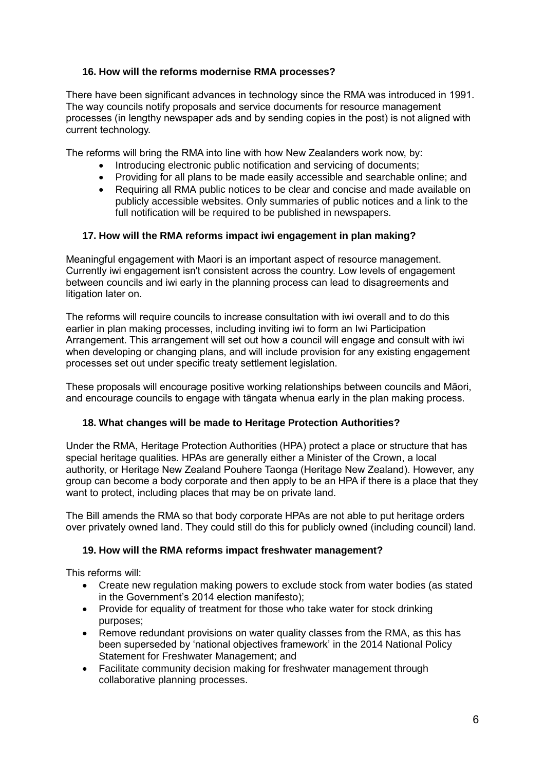# **16. How will the reforms modernise RMA processes?**

There have been significant advances in technology since the RMA was introduced in 1991. The way councils notify proposals and service documents for resource management processes (in lengthy newspaper ads and by sending copies in the post) is not aligned with current technology.

The reforms will bring the RMA into line with how New Zealanders work now, by:

- Introducing electronic public notification and servicing of documents;
- Providing for all plans to be made easily accessible and searchable online; and
- Requiring all RMA public notices to be clear and concise and made available on publicly accessible websites. Only summaries of public notices and a link to the full notification will be required to be published in newspapers.

# **17. How will the RMA reforms impact iwi engagement in plan making?**

Meaningful engagement with Maori is an important aspect of resource management. Currently iwi engagement isn't consistent across the country. Low levels of engagement between councils and iwi early in the planning process can lead to disagreements and litigation later on.

The reforms will require councils to increase consultation with iwi overall and to do this earlier in plan making processes, including inviting iwi to form an Iwi Participation Arrangement. This arrangement will set out how a council will engage and consult with iwi when developing or changing plans, and will include provision for any existing engagement processes set out under specific treaty settlement legislation.

These proposals will encourage positive working relationships between councils and Māori, and encourage councils to engage with tāngata whenua early in the plan making process.

# **18. What changes will be made to Heritage Protection Authorities?**

Under the RMA, Heritage Protection Authorities (HPA) protect a place or structure that has special heritage qualities. HPAs are generally either a Minister of the Crown, a local authority, or Heritage New Zealand Pouhere Taonga (Heritage New Zealand). However, any group can become a body corporate and then apply to be an HPA if there is a place that they want to protect, including places that may be on private land.

The Bill amends the RMA so that body corporate HPAs are not able to put heritage orders over privately owned land. They could still do this for publicly owned (including council) land.

# **19. How will the RMA reforms impact freshwater management?**

This reforms will:

- Create new regulation making powers to exclude stock from water bodies (as stated in the Government's 2014 election manifesto);
- Provide for equality of treatment for those who take water for stock drinking purposes;
- Remove redundant provisions on water quality classes from the RMA, as this has been superseded by 'national objectives framework' in the 2014 National Policy Statement for Freshwater Management; and
- Facilitate community decision making for freshwater management through collaborative planning processes.